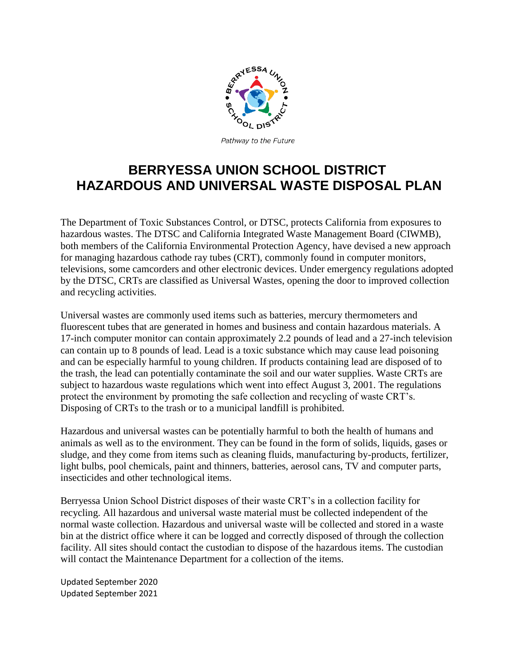

Pathway to the Future

## **BERRYESSA UNION SCHOOL DISTRICT HAZARDOUS AND UNIVERSAL WASTE DISPOSAL PLAN**

The Department of Toxic Substances Control, or DTSC, protects California from exposures to hazardous wastes. The DTSC and California Integrated Waste Management Board (CIWMB), both members of the California Environmental Protection Agency, have devised a new approach for managing hazardous cathode ray tubes (CRT), commonly found in computer monitors, televisions, some camcorders and other electronic devices. Under emergency regulations adopted by the DTSC, CRTs are classified as Universal Wastes, opening the door to improved collection and recycling activities.

Universal wastes are commonly used items such as batteries, mercury thermometers and fluorescent tubes that are generated in homes and business and contain hazardous materials. A 17-inch computer monitor can contain approximately 2.2 pounds of lead and a 27-inch television can contain up to 8 pounds of lead. Lead is a toxic substance which may cause lead poisoning and can be especially harmful to young children. If products containing lead are disposed of to the trash, the lead can potentially contaminate the soil and our water supplies. Waste CRTs are subject to hazardous waste regulations which went into effect August 3, 2001. The regulations protect the environment by promoting the safe collection and recycling of waste CRT's. Disposing of CRTs to the trash or to a municipal landfill is prohibited.

Hazardous and universal wastes can be potentially harmful to both the [health](http://www.wikihow.com/Take-Control-of-Your-Health) of humans and animals as well as to the environment. They can be found in the form of solids, liquids, gases or sludge, and they come from items such as cleaning fluids, manufacturing by-products, [fertilizer,](http://www.wikihow.com/Read-a-Fertilizer-Label) light bulbs, pool chemicals, paint and thinners, batteries, aerosol cans, TV and computer parts, insecticides and other technological items.

Berryessa Union School District disposes of their waste CRT's in a collection facility for recycling. All hazardous and universal waste material must be collected independent of the normal waste collection. Hazardous and universal waste will be collected and stored in a waste bin at the district office where it can be logged and correctly disposed of through the collection facility. All sites should contact the custodian to dispose of the hazardous items. The custodian will contact the Maintenance Department for a collection of the items.

Updated September 2020 Updated September 2021